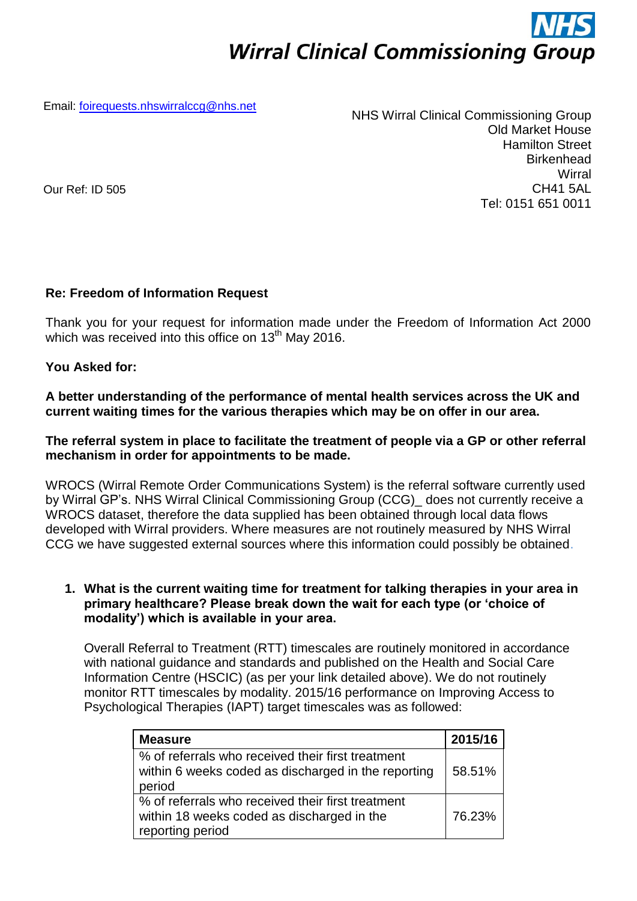# **Wirral Clinical Commissioning Group**

Email: [foirequests.nhswirralccg@nhs.net](mailto:foirequests.nhswirralccg@nhs.net)

NHS Wirral Clinical Commissioning Group Old Market House Hamilton Street **Birkenhead Wirral** CH41 5AL Tel: 0151 651 0011

Our Ref: ID 505

# **Re: Freedom of Information Request**

Thank you for your request for information made under the Freedom of Information Act 2000 which was received into this office on  $13<sup>th</sup>$  May 2016.

# **You Asked for:**

**A better understanding of the performance of mental health services across the UK and current waiting times for the various therapies which may be on offer in our area.** 

#### **The referral system in place to facilitate the treatment of people via a GP or other referral mechanism in order for appointments to be made.**

WROCS (Wirral Remote Order Communications System) is the referral software currently used by Wirral GP's. NHS Wirral Clinical Commissioning Group (CCG)\_ does not currently receive a WROCS dataset, therefore the data supplied has been obtained through local data flows developed with Wirral providers. Where measures are not routinely measured by NHS Wirral CCG we have suggested external sources where this information could possibly be obtained.

# **1. What is the current waiting time for treatment for talking therapies in your area in primary healthcare? Please break down the wait for each type (or 'choice of modality') which is available in your area.**

Overall Referral to Treatment (RTT) timescales are routinely monitored in accordance with national guidance and standards and published on the Health and Social Care Information Centre (HSCIC) (as per your link detailed above). We do not routinely monitor RTT timescales by modality. 2015/16 performance on Improving Access to Psychological Therapies (IAPT) target timescales was as followed:

| <b>Measure</b>                                                                                                      | 2015/16 |
|---------------------------------------------------------------------------------------------------------------------|---------|
| % of referrals who received their first treatment<br>within 6 weeks coded as discharged in the reporting<br>period  | 58.51%  |
| % of referrals who received their first treatment<br>within 18 weeks coded as discharged in the<br>reporting period | 76.23%  |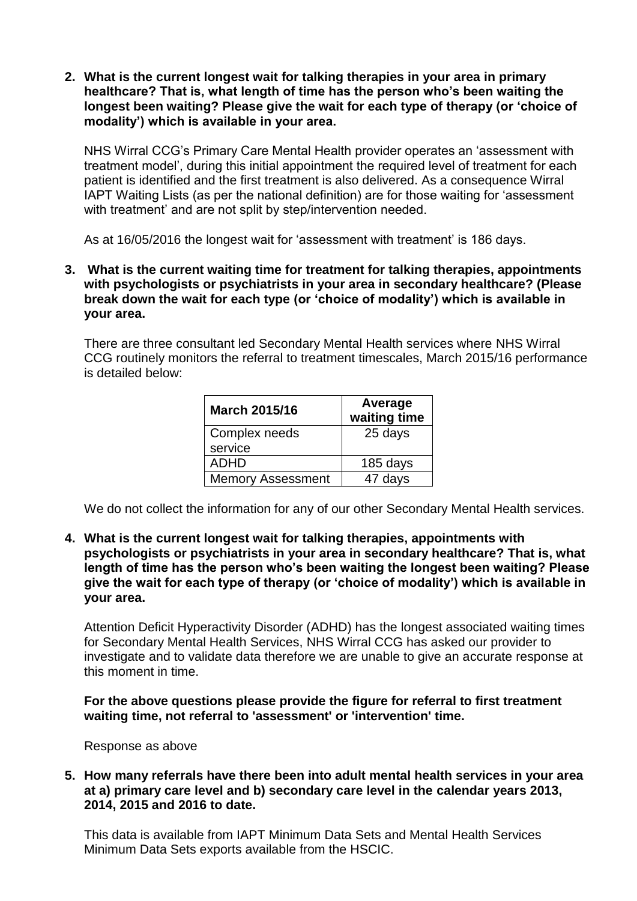**2. What is the current longest wait for talking therapies in your area in primary healthcare? That is, what length of time has the person who's been waiting the longest been waiting? Please give the wait for each type of therapy (or 'choice of modality') which is available in your area.**

NHS Wirral CCG's Primary Care Mental Health provider operates an 'assessment with treatment model', during this initial appointment the required level of treatment for each patient is identified and the first treatment is also delivered. As a consequence Wirral IAPT Waiting Lists (as per the national definition) are for those waiting for 'assessment with treatment' and are not split by step/intervention needed.

As at 16/05/2016 the longest wait for 'assessment with treatment' is 186 days.

**3. What is the current waiting time for treatment for talking therapies, appointments with psychologists or psychiatrists in your area in secondary healthcare? (Please break down the wait for each type (or 'choice of modality') which is available in your area.**

There are three consultant led Secondary Mental Health services where NHS Wirral CCG routinely monitors the referral to treatment timescales, March 2015/16 performance is detailed below:

| <b>March 2015/16</b>     | Average<br>waiting time |
|--------------------------|-------------------------|
| Complex needs            | 25 days                 |
| service                  |                         |
| <b>ADHD</b>              | 185 days                |
| <b>Memory Assessment</b> | 47 days                 |

We do not collect the information for any of our other Secondary Mental Health services.

**4. What is the current longest wait for talking therapies, appointments with psychologists or psychiatrists in your area in secondary healthcare? That is, what length of time has the person who's been waiting the longest been waiting? Please give the wait for each type of therapy (or 'choice of modality') which is available in your area.**

Attention Deficit Hyperactivity Disorder (ADHD) has the longest associated waiting times for Secondary Mental Health Services, NHS Wirral CCG has asked our provider to investigate and to validate data therefore we are unable to give an accurate response at this moment in time.

**For the above questions please provide the figure for referral to first treatment waiting time, not referral to 'assessment' or 'intervention' time.**

Response as above

**5. How many referrals have there been into adult mental health services in your area at a) primary care level and b) secondary care level in the calendar years 2013, 2014, 2015 and 2016 to date.** 

This data is available from IAPT Minimum Data Sets and Mental Health Services Minimum Data Sets exports available from the HSCIC.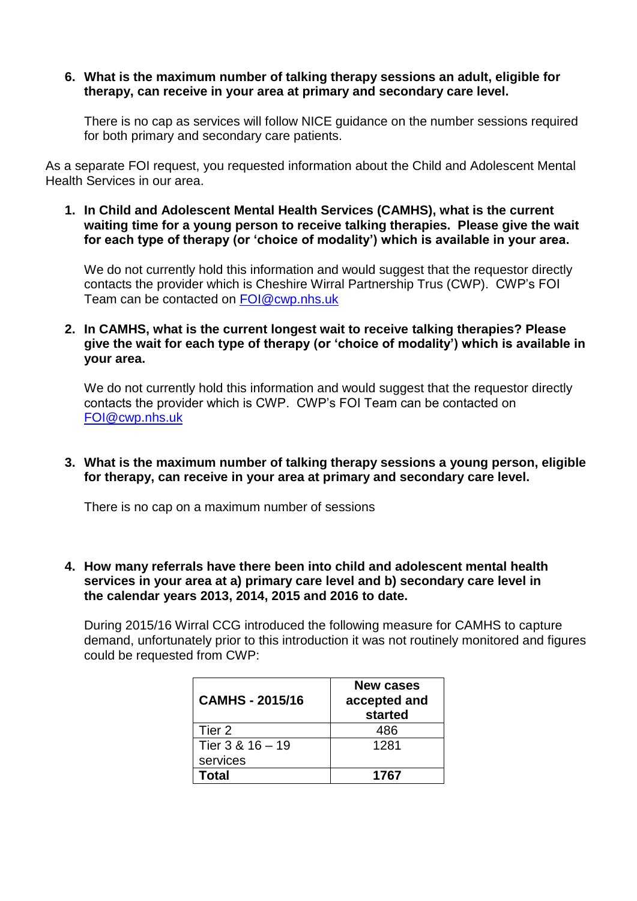# **6. What is the maximum number of talking therapy sessions an adult, eligible for therapy, can receive in your area at primary and secondary care level.**

There is no cap as services will follow NICE guidance on the number sessions required for both primary and secondary care patients.

As a separate FOI request, you requested information about the Child and Adolescent Mental Health Services in our area.

**1. In Child and Adolescent Mental Health Services (CAMHS), what is the current waiting time for a young person to receive talking therapies. Please give the wait for each type of therapy (or 'choice of modality') which is available in your area.**

We do not currently hold this information and would suggest that the requestor directly contacts the provider which is Cheshire Wirral Partnership Trus (CWP). CWP's FOI Team can be contacted on [FOI@cwp.nhs.uk](mailto:FOI@cwp.nhs.uk)

**2. In CAMHS, what is the current longest wait to receive talking therapies? Please give the wait for each type of therapy (or 'choice of modality') which is available in your area.**

We do not currently hold this information and would suggest that the requestor directly contacts the provider which is CWP. CWP's FOI Team can be contacted on [FOI@cwp.nhs.uk](mailto:FOI@cwp.nhs.uk)

**3. What is the maximum number of talking therapy sessions a young person, eligible for therapy, can receive in your area at primary and secondary care level.** 

There is no cap on a maximum number of sessions

**4. How many referrals have there been into child and adolescent mental health services in your area at a) primary care level and b) secondary care level in the calendar years 2013, 2014, 2015 and 2016 to date.**

During 2015/16 Wirral CCG introduced the following measure for CAMHS to capture demand, unfortunately prior to this introduction it was not routinely monitored and figures could be requested from CWP:

| CAMHS - 2015/16  | <b>New cases</b><br>accepted and<br>started |
|------------------|---------------------------------------------|
| Tier 2           | 486                                         |
| Tier 3 & 16 - 19 | 1281                                        |
| services         |                                             |
| Total            | 1767                                        |